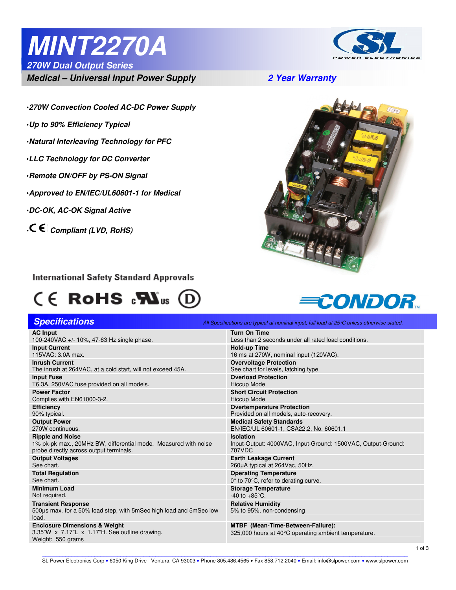# **MINT2270A**



**270W Dual Output Series** 

**Medical – Universal Input Power Supply 2 Year Warranty** 

- •**270W Convection Cooled AC-DC Power Supply**
- •**Up to 90% Efficiency Typical**

Ī

- •**Natural Interleaving Technology for PFC**
- •**LLC Technology for DC Converter**
- •**Remote ON/OFF by PS-ON Signal**
- •**Approved to EN/IEC/UL60601-1 for Medical**
- •**DC-OK, AC-OK Signal Active**
- **Compliant (LVD, RoHS)**



#### **International Safety Standard Approvals**

## $C \in$  RoHS  $_{c}$ Nus  $(D)$



| <b>Specifications</b>                                                                                           | All Specifications are typical at nominal input, full load at $25^{\circ}$ C unless otherwise stated. |
|-----------------------------------------------------------------------------------------------------------------|-------------------------------------------------------------------------------------------------------|
| <b>AC Input</b>                                                                                                 | <b>Turn On Time</b>                                                                                   |
| 100-240VAC +/- 10%, 47-63 Hz single phase.                                                                      | Less than 2 seconds under all rated load conditions.                                                  |
| <b>Input Current</b>                                                                                            | <b>Hold-up Time</b>                                                                                   |
| 115VAC: 3.0A max.                                                                                               | 16 ms at 270W, nominal input (120VAC).                                                                |
| <b>Inrush Current</b>                                                                                           | <b>Overvoltage Protection</b>                                                                         |
| The inrush at 264VAC, at a cold start, will not exceed 45A.                                                     | See chart for levels, latching type                                                                   |
| <b>Input Fuse</b>                                                                                               | <b>Overload Protection</b>                                                                            |
| T6.3A, 250VAC fuse provided on all models.                                                                      | <b>Hiccup Mode</b>                                                                                    |
| <b>Power Factor</b>                                                                                             | <b>Short Circuit Protection</b>                                                                       |
| Complies with EN61000-3-2.                                                                                      | <b>Hiccup Mode</b>                                                                                    |
| <b>Efficiency</b>                                                                                               | <b>Overtemperature Protection</b>                                                                     |
| 90% typical.                                                                                                    | Provided on all models, auto-recovery.                                                                |
| <b>Output Power</b>                                                                                             | <b>Medical Safety Standards</b>                                                                       |
| 270W continuous.                                                                                                | EN/IEC/UL 60601-1, CSA22.2, No. 60601.1                                                               |
| <b>Ripple and Noise</b>                                                                                         | <b>Isolation</b>                                                                                      |
| 1% pk-pk max., 20MHz BW, differential mode. Measured with noise                                                 | Input-Output: 4000VAC, Input-Ground: 1500VAC, Output-Ground:                                          |
| probe directly across output terminals.                                                                         | 707VDC                                                                                                |
| <b>Output Voltages</b>                                                                                          | <b>Earth Leakage Current</b>                                                                          |
| See chart.                                                                                                      | 260µA typical at 264Vac, 50Hz.                                                                        |
| <b>Total Regulation</b>                                                                                         | <b>Operating Temperature</b>                                                                          |
| See chart.                                                                                                      | 0° to 70°C, refer to derating curve.                                                                  |
| <b>Minimum Load</b>                                                                                             | <b>Storage Temperature</b>                                                                            |
| Not required.                                                                                                   | $-40$ to $+85^{\circ}$ C.                                                                             |
| <b>Transient Response</b><br>500us max. for a 50% load step, with 5mSec high load and 5mSec low<br>load.        | <b>Relative Humidity</b><br>5% to 95%, non-condensing                                                 |
| <b>Enclosure Dimensions &amp; Weight</b><br>3.35"W x 7.17"L x 1.17"H. See outline drawing.<br>Weight: 550 grams | <b>MTBF</b> (Mean-Time-Between-Failure):<br>325,000 hours at 40°C operating ambient temperature.      |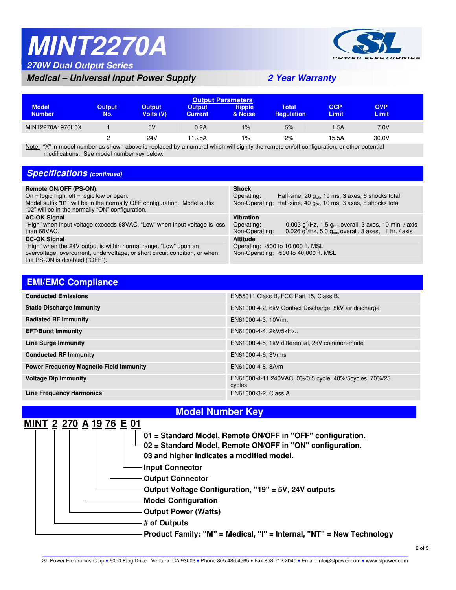## **MINT2270A 270W Dual Output Series**



### **Medical – Universal Input Power Supply 2 Year Warranty**

| <b>Output Parameters</b>                         |                      |                            |                                 |                                  |                            |                                        |                            |  |
|--------------------------------------------------|----------------------|----------------------------|---------------------------------|----------------------------------|----------------------------|----------------------------------------|----------------------------|--|
| <b>Model</b><br><b>Number</b>                    | <b>Output</b><br>No. | <b>Output</b><br>Volts (V) | <b>Output</b><br><b>Current</b> | <b>Ripple</b><br>& Noise         | Total<br><b>Requlation</b> | <b>OCP</b><br><b>Limit</b>             | <b>OVP</b><br><b>Limit</b> |  |
| MINT2270A1976E0X                                 |                      | 5V                         | 0.2A                            | 1%                               | 5%                         | 1.5A                                   | 7.0V                       |  |
| $\cdots$ $\cdots$ $\cdots$<br>$\cdots$<br>$\sim$ | $\sim$ $\sim$        | 24V<br>$\cdots$            | 11.25A<br>.                     | 1%<br>$\cdots$ $\cdots$ $\cdots$ | 2%<br>.                    | 15.5A<br>and the state of the state of | 30.0V                      |  |

Note: "X" in model number as shown above is replaced by a numeral which will signify the remote on/off configuration, or other potential modifications. See model number key below.

#### **Specifications** (continued)

| Remote ON/OFF (PS-ON):<br>On = logic high, off = logic low or open.<br>Model suffix "01" will be in the normally OFF configuration. Model suffix<br>"02" will be in the normally "ON" configuration.     | <b>Shock</b><br>Half-sine, 20 $g_{nk}$ , 10 ms, 3 axes, 6 shocks total<br>Operating:<br>Non-Operating: Half-sine, 40 g <sub>ok</sub> , 10 ms, 3 axes, 6 shocks total                      |
|----------------------------------------------------------------------------------------------------------------------------------------------------------------------------------------------------------|-------------------------------------------------------------------------------------------------------------------------------------------------------------------------------------------|
| <b>AC-OK Signal</b><br>"High" when input voltage exceeds 68VAC, "Low" when input voltage is less<br>than 68VAC.                                                                                          | <b>Vibration</b><br>0.003 $g^2$ /Hz, 1.5 $g_{rms}$ overall, 3 axes, 10 min. / axis<br>Operating:<br>0.026 $q^2$ /Hz, 5.0 g <sub>rms</sub> overall, 3 axes, 1 hr. / axis<br>Non-Operating: |
| <b>DC-OK Signal</b><br>"High" when the 24V output is within normal range. "Low" upon an<br>overvoltage, overcurrent, undervoltage, or short circuit condition, or when<br>the PS-ON is disabled ("OFF"). | <b>Altitude</b><br>Operating: -500 to 10,000 ft. MSL<br>Non-Operating: -500 to 40,000 ft. MSL                                                                                             |

#### **EMI/EMC Compliance**

 $\overline{\phantom{a}}$ 

| <b>Conducted Emissions</b>                     | EN55011 Class B, FCC Part 15, Class B.                            |
|------------------------------------------------|-------------------------------------------------------------------|
| <b>Static Discharge Immunity</b>               | EN61000-4-2, 6kV Contact Discharge, 8kV air discharge             |
| <b>Radiated RF Immunity</b>                    | EN61000-4-3, 10V/m.                                               |
| <b>EFT/Burst Immunity</b>                      | EN61000-4-4, 2kV/5kHz                                             |
| <b>Line Surge Immunity</b>                     | EN61000-4-5, 1kV differential, 2kV common-mode                    |
| <b>Conducted RF Immunity</b>                   | EN61000-4-6, 3Vrms                                                |
| <b>Power Frequency Magnetic Field Immunity</b> | EN61000-4-8, 3A/m                                                 |
| <b>Voltage Dip Immunity</b>                    | EN61000-4-11 240VAC, 0%/0.5 cycle, 40%/5 cycles, 70%/25<br>cycles |
| <b>Line Frequency Harmonics</b>                | EN61000-3-2, Class A                                              |



### **Model Number Key**